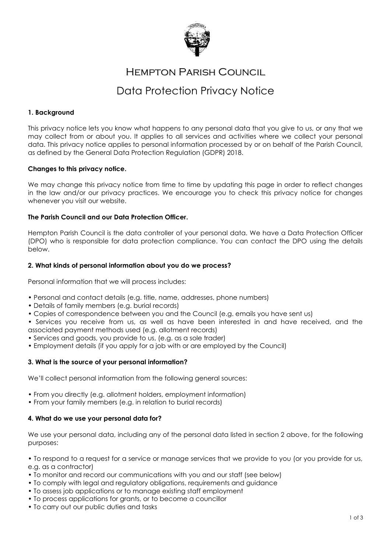

## Hempton Parish Council

# Data Protection Privacy Notice

## **1. Background**

This privacy notice lets you know what happens to any personal data that you give to us, or any that we may collect from or about you. It applies to all services and activities where we collect your personal data. This privacy notice applies to personal information processed by or on behalf of the Parish Council, as defined by the General Data Protection Regulation (GDPR) 2018.

### **Changes to this privacy notice.**

We may change this privacy notice from time to time by updating this page in order to reflect changes in the law and/or our privacy practices. We encourage you to check this privacy notice for changes whenever you visit our website.

## **The Parish Council and our Data Protection Officer.**

Hempton Parish Council is the data controller of your personal data. We have a Data Protection Officer (DPO) who is responsible for data protection compliance. You can contact the DPO using the details below.

## **2. What kinds of personal information about you do we process?**

Personal information that we will process includes:

- Personal and contact details (e.g. title, name, addresses, phone numbers)
- Details of family members (e.g. burial records)
- Copies of correspondence between you and the Council (e.g. emails you have sent us)
- Services you receive from us, as well as have been interested in and have received, and the associated payment methods used (e.g. allotment records)
- Services and goods, you provide to us, (e.g. as a sole trader)
- Employment details (if you apply for a job with or are employed by the Council)

### **3. What is the source of your personal information?**

We'll collect personal information from the following general sources:

- From you directly (e.g. allotment holders, employment information)
- From your family members (e.g. in relation to burial records)

### **4. What do we use your personal data for?**

We use your personal data, including any of the personal data listed in section 2 above, for the following purposes:

• To respond to a request for a service or manage services that we provide to you (or you provide for us, e.g. as a contractor)

- To monitor and record our communications with you and our staff (see below)
- To comply with legal and regulatory obligations, requirements and guidance
- To assess job applications or to manage existing staff employment
- To process applications for grants, or to become a councillor
- To carry out our public duties and tasks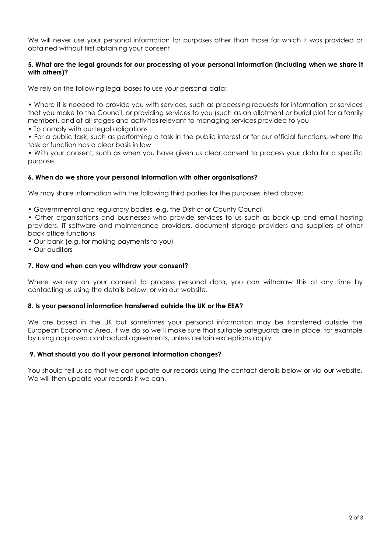We will never use your personal information for purposes other than those for which it was provided or obtained without first obtaining your consent.

## **5. What are the legal grounds for our processing of your personal information (including when we share it with others)?**

We rely on the following legal bases to use your personal data:

• Where it is needed to provide you with services, such as processing requests for information or services that you make to the Council, or providing services to you (such as an allotment or burial plot for a family member), and at all stages and activities relevant to managing services provided to you

• To comply with our legal obligations

• For a public task, such as performing a task in the public interest or for our official functions, where the task or function has a clear basis in law

• With your consent, such as when you have given us clear consent to process your data for a specific purpose

## **6. When do we share your personal information with other organisations?**

We may share information with the following third parties for the purposes listed above:

• Governmental and regulatory bodies, e.g. the District or County Council

• Other organisations and businesses who provide services to us such as back-up and email hosting providers, IT software and maintenance providers, document storage providers and suppliers of other back office functions

- Our bank (e.g. for making payments to you)
- Our auditors

### **7. How and when can you withdraw your consent?**

Where we rely on your consent to process personal data, you can withdraw this at any time by contacting us using the details below, or via our website.

### **8. Is your personal information transferred outside the UK or the EEA?**

We are based in the UK but sometimes your personal information may be transferred outside the European Economic Area. If we do so we'll make sure that suitable safeguards are in place, for example by using approved contractual agreements, unless certain exceptions apply.

### **9. What should you do if your personal information changes?**

You should tell us so that we can update our records using the contact details below or via our website. We will then update your records if we can.